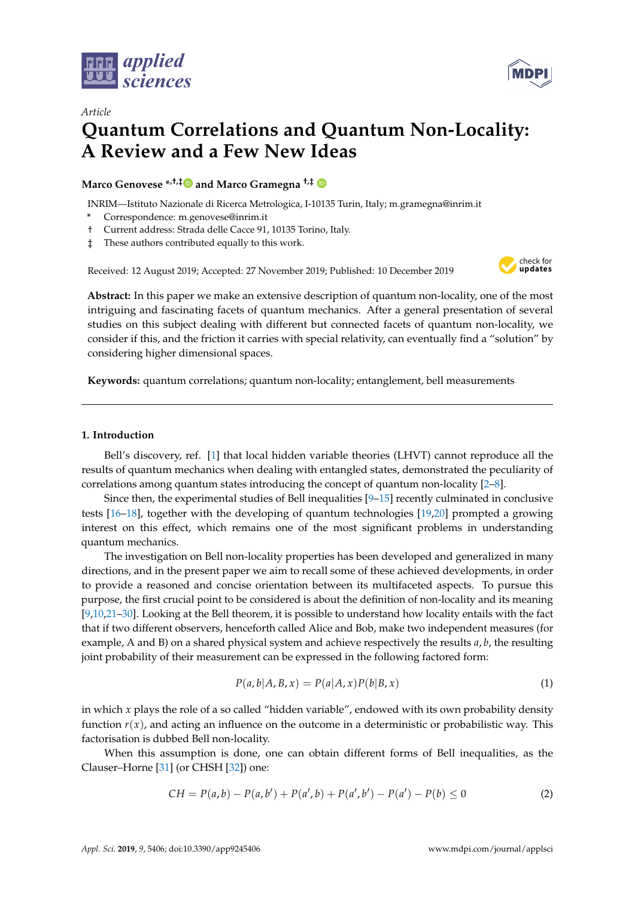



# *Article* **Quantum Correlations and Quantum Non-Locality: A Review and a Few New Ideas**

**Marco Genovese \*,†,[‡](https://orcid.org/0000-0001-9186-8849) and Marco Gramegna †,‡**

INRIM—Istituto Nazionale di Ricerca Metrologica, I-10135 Turin, Italy; m.gramegna@inrim.it

- **\*** Correspondence: m.genovese@inrim.it
- † Current address: Strada delle Cacce 91, 10135 Torino, Italy.
- ‡ These authors contributed equally to this work.

Received: 12 August 2019; Accepted: 27 November 2019; Published: 10 December 2019



**Abstract:** In this paper we make an extensive description of quantum non-locality, one of the most intriguing and fascinating facets of quantum mechanics. After a general presentation of several studies on this subject dealing with different but connected facets of quantum non-locality, we consider if this, and the friction it carries with special relativity, can eventually find a "solution" by considering higher dimensional spaces.

**Keywords:** quantum correlations; quantum non-locality; entanglement, bell measurements

## **1. Introduction**

Bell's discovery, ref. [\[1\]](#page-8-0) that local hidden variable theories (LHVT) cannot reproduce all the results of quantum mechanics when dealing with entangled states, demonstrated the peculiarity of correlations among quantum states introducing the concept of quantum non-locality [\[2–](#page-8-1)[8\]](#page-8-2).

Since then, the experimental studies of Bell inequalities  $[9-15]$  $[9-15]$  recently culminated in conclusive tests [\[16](#page-9-0)[–18\]](#page-9-1), together with the developing of quantum technologies [\[19,](#page-9-2)[20\]](#page-9-3) prompted a growing interest on this effect, which remains one of the most significant problems in understanding quantum mechanics.

The investigation on Bell non-locality properties has been developed and generalized in many directions, and in the present paper we aim to recall some of these achieved developments, in order to provide a reasoned and concise orientation between its multifaceted aspects. To pursue this purpose, the first crucial point to be considered is about the definition of non-locality and its meaning [\[9](#page-8-3)[,10,](#page-8-5)[21–](#page-9-4)[30\]](#page-9-5). Looking at the Bell theorem, it is possible to understand how locality entails with the fact that if two different observers, henceforth called Alice and Bob, make two independent measures (for example, A and B) on a shared physical system and achieve respectively the results *a*, *b*, the resulting joint probability of their measurement can be expressed in the following factored form:

$$
P(a,b|A,B,x) = P(a|A,x)P(b|B,x)
$$
\n(1)

in which *x* plays the role of a so called "hidden variable", endowed with its own probability density function  $r(x)$ , and acting an influence on the outcome in a deterministic or probabilistic way. This factorisation is dubbed Bell non-locality.

When this assumption is done, one can obtain different forms of Bell inequalities, as the Clauser–Horne [\[31\]](#page-9-6) (or CHSH [\[32\]](#page-9-7)) one:

$$
CH = P(a,b) - P(a,b') + P(a',b) + P(a',b') - P(a') - P(b) \le 0
$$
\n(2)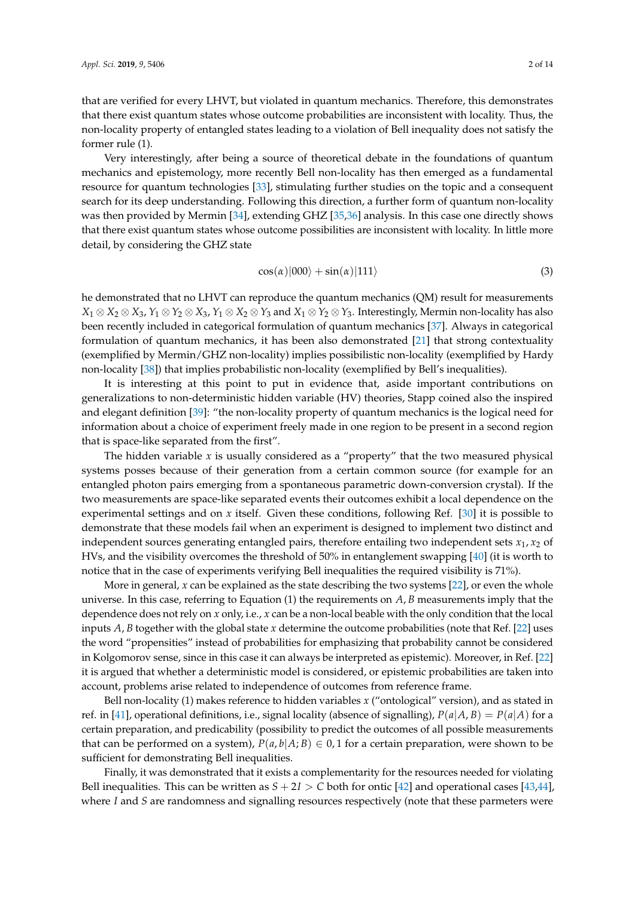that are verified for every LHVT, but violated in quantum mechanics. Therefore, this demonstrates that there exist quantum states whose outcome probabilities are inconsistent with locality. Thus, the non-locality property of entangled states leading to a violation of Bell inequality does not satisfy the former rule (1).

Very interestingly, after being a source of theoretical debate in the foundations of quantum mechanics and epistemology, more recently Bell non-locality has then emerged as a fundamental resource for quantum technologies [\[33\]](#page-9-8), stimulating further studies on the topic and a consequent search for its deep understanding. Following this direction, a further form of quantum non-locality was then provided by Mermin [\[34\]](#page-9-9), extending GHZ [\[35](#page-9-10)[,36\]](#page-9-11) analysis. In this case one directly shows that there exist quantum states whose outcome possibilities are inconsistent with locality. In little more detail, by considering the GHZ state

$$
\cos(\alpha)|000\rangle + \sin(\alpha)|111\rangle \tag{3}
$$

he demonstrated that no LHVT can reproduce the quantum mechanics (QM) result for measurements *X*<sub>1</sub> ⊗ *X*<sub>2</sub> ⊗ *X*<sub>3</sub>, *Y*<sub>1</sub> ⊗ *Y*<sub>2</sub> ⊗ *X*<sub>3</sub>, *Y*<sub>1</sub> ⊗ *X*<sub>2</sub> ⊗ *Y*<sub>3</sub> and *X*<sub>1</sub> ⊗ *Y*<sub>2</sub> ⊗ *Y*<sub>3</sub>. Interestingly, Mermin non-locality has also been recently included in categorical formulation of quantum mechanics [\[37\]](#page-9-12). Always in categorical formulation of quantum mechanics, it has been also demonstrated [\[21\]](#page-9-4) that strong contextuality (exemplified by Mermin/GHZ non-locality) implies possibilistic non-locality (exemplified by Hardy non-locality [\[38\]](#page-9-13)) that implies probabilistic non-locality (exemplified by Bell's inequalities).

It is interesting at this point to put in evidence that, aside important contributions on generalizations to non-deterministic hidden variable (HV) theories, Stapp coined also the inspired and elegant definition [\[39\]](#page-9-14): "the non-locality property of quantum mechanics is the logical need for information about a choice of experiment freely made in one region to be present in a second region that is space-like separated from the first".

The hidden variable *x* is usually considered as a "property" that the two measured physical systems posses because of their generation from a certain common source (for example for an entangled photon pairs emerging from a spontaneous parametric down-conversion crystal). If the two measurements are space-like separated events their outcomes exhibit a local dependence on the experimental settings and on *x* itself. Given these conditions, following Ref. [\[30\]](#page-9-5) it is possible to demonstrate that these models fail when an experiment is designed to implement two distinct and independent sources generating entangled pairs, therefore entailing two independent sets  $x_1$ ,  $x_2$  of HVs, and the visibility overcomes the threshold of 50% in entanglement swapping [\[40\]](#page-9-15) (it is worth to notice that in the case of experiments verifying Bell inequalities the required visibility is 71%).

More in general, *x* can be explained as the state describing the two systems [\[22\]](#page-9-16), or even the whole universe. In this case, referring to Equation (1) the requirements on *A*, *B* measurements imply that the dependence does not rely on *x* only, i.e., *x* can be a non-local beable with the only condition that the local inputs *A*, *B* together with the global state *x* determine the outcome probabilities (note that Ref. [\[22\]](#page-9-16) uses the word "propensities" instead of probabilities for emphasizing that probability cannot be considered in Kolgomorov sense, since in this case it can always be interpreted as epistemic). Moreover, in Ref. [\[22\]](#page-9-16) it is argued that whether a deterministic model is considered, or epistemic probabilities are taken into account, problems arise related to independence of outcomes from reference frame.

Bell non-locality (1) makes reference to hidden variables *x* ("ontological" version), and as stated in ref. in [\[41\]](#page-9-17), operational definitions, i.e., signal locality (absence of signalling),  $P(a|A, B) = P(a|A)$  for a certain preparation, and predicability (possibility to predict the outcomes of all possible measurements that can be performed on a system),  $P(a, b|A; B) \in 0, 1$  for a certain preparation, were shown to be sufficient for demonstrating Bell inequalities.

Finally, it was demonstrated that it exists a complementarity for the resources needed for violating Bell inequalities. This can be written as  $S + 2I > C$  both for ontic [\[42\]](#page-10-0) and operational cases [\[43,](#page-10-1)[44\]](#page-10-2), where *I* and *S* are randomness and signalling resources respectively (note that these parmeters were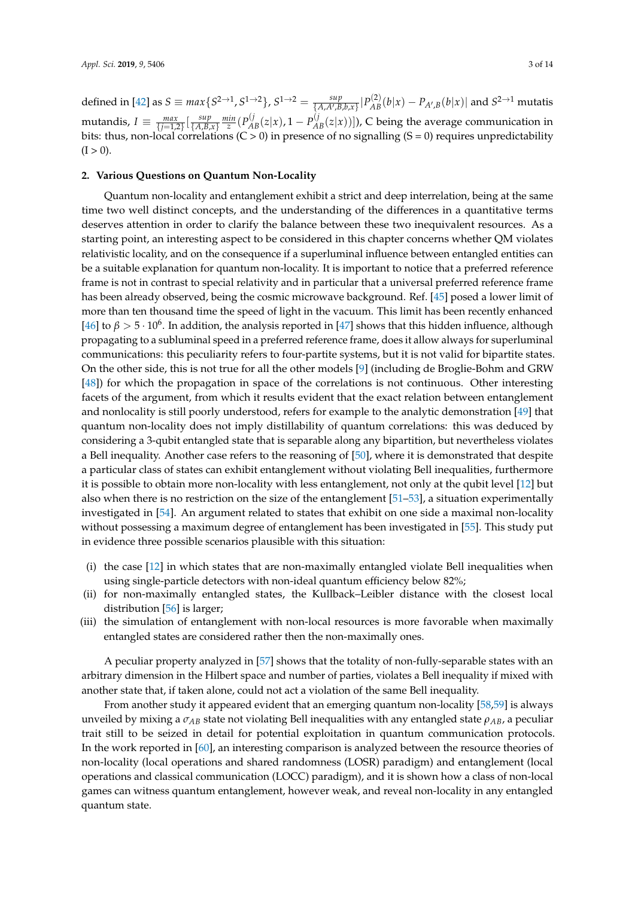defined in [\[42\]](#page-10-0) as  $S \equiv max\{S^{2\to 1}, S^{1\to 2}\}, S^{1\to 2} = \frac{sup}{\{A, A', B, b, x\}}|P_{AB}^{(2)}(b|x) - P_{A', B}(b|x)|$  and  $S^{2\to 1}$  mutatis mutandis,  $I \equiv \frac{max}{\{j=1,2\}} \left[\frac{sup}{\{A,B\}}\right]$  $\frac{sup}{\{A,B,x\}}$   $\frac{min}{z}$  ( $P_{AB}^{(j)}(z|x)$ , 1 –  $P_{AB}^{(j)}(z|x))$ ), C being the average communication in bits: thus, non-local correlations (C > 0) in presence of no signalling (S = 0) requires unpredictability  $(I > 0)$ .

### **2. Various Questions on Quantum Non-Locality**

Quantum non-locality and entanglement exhibit a strict and deep interrelation, being at the same time two well distinct concepts, and the understanding of the differences in a quantitative terms deserves attention in order to clarify the balance between these two inequivalent resources. As a starting point, an interesting aspect to be considered in this chapter concerns whether QM violates relativistic locality, and on the consequence if a superluminal influence between entangled entities can be a suitable explanation for quantum non-locality. It is important to notice that a preferred reference frame is not in contrast to special relativity and in particular that a universal preferred reference frame has been already observed, being the cosmic microwave background. Ref. [\[45\]](#page-10-3) posed a lower limit of more than ten thousand time the speed of light in the vacuum. This limit has been recently enhanced [\[46\]](#page-10-4) to  $\beta > 5 \cdot 10^6$ . In addition, the analysis reported in [\[47\]](#page-10-5) shows that this hidden influence, although propagating to a subluminal speed in a preferred reference frame, does it allow always for superluminal communications: this peculiarity refers to four-partite systems, but it is not valid for bipartite states. On the other side, this is not true for all the other models [\[9\]](#page-8-3) (including de Broglie-Bohm and GRW [\[48\]](#page-10-6)) for which the propagation in space of the correlations is not continuous. Other interesting facets of the argument, from which it results evident that the exact relation between entanglement and nonlocality is still poorly understood, refers for example to the analytic demonstration [\[49\]](#page-10-7) that quantum non-locality does not imply distillability of quantum correlations: this was deduced by considering a 3-qubit entangled state that is separable along any bipartition, but nevertheless violates a Bell inequality. Another case refers to the reasoning of [\[50\]](#page-10-8), where it is demonstrated that despite a particular class of states can exhibit entanglement without violating Bell inequalities, furthermore it is possible to obtain more non-locality with less entanglement, not only at the qubit level [\[12\]](#page-8-6) but also when there is no restriction on the size of the entanglement [\[51](#page-10-9)[–53\]](#page-10-10), a situation experimentally investigated in [\[54\]](#page-10-11). An argument related to states that exhibit on one side a maximal non-locality without possessing a maximum degree of entanglement has been investigated in [\[55\]](#page-10-12). This study put in evidence three possible scenarios plausible with this situation:

- (i) the case [\[12\]](#page-8-6) in which states that are non-maximally entangled violate Bell inequalities when using single-particle detectors with non-ideal quantum efficiency below 82%;
- (ii) for non-maximally entangled states, the Kullback–Leibler distance with the closest local distribution [\[56\]](#page-10-13) is larger;
- (iii) the simulation of entanglement with non-local resources is more favorable when maximally entangled states are considered rather then the non-maximally ones.

A peculiar property analyzed in [\[57\]](#page-10-14) shows that the totality of non-fully-separable states with an arbitrary dimension in the Hilbert space and number of parties, violates a Bell inequality if mixed with another state that, if taken alone, could not act a violation of the same Bell inequality.

From another study it appeared evident that an emerging quantum non-locality [\[58](#page-10-15)[,59\]](#page-10-16) is always unveiled by mixing a  $\sigma_{AB}$  state not violating Bell inequalities with any entangled state  $\rho_{AB}$ , a peculiar trait still to be seized in detail for potential exploitation in quantum communication protocols. In the work reported in [\[60\]](#page-10-17), an interesting comparison is analyzed between the resource theories of non-locality (local operations and shared randomness (LOSR) paradigm) and entanglement (local operations and classical communication (LOCC) paradigm), and it is shown how a class of non-local games can witness quantum entanglement, however weak, and reveal non-locality in any entangled quantum state.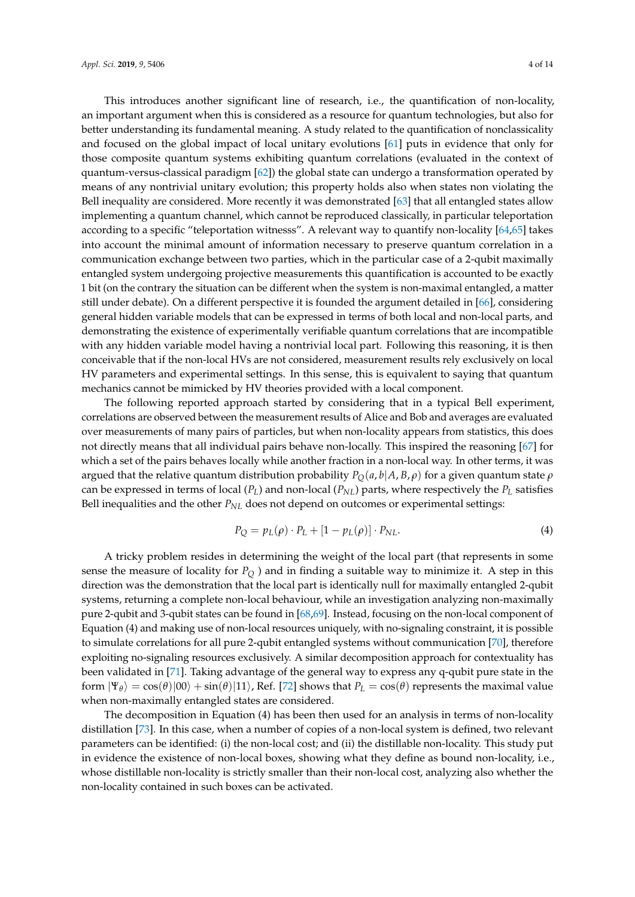This introduces another significant line of research, i.e., the quantification of non-locality, an important argument when this is considered as a resource for quantum technologies, but also for better understanding its fundamental meaning. A study related to the quantification of nonclassicality and focused on the global impact of local unitary evolutions [\[61\]](#page-10-18) puts in evidence that only for those composite quantum systems exhibiting quantum correlations (evaluated in the context of quantum-versus-classical paradigm [\[62\]](#page-10-19)) the global state can undergo a transformation operated by means of any nontrivial unitary evolution; this property holds also when states non violating the Bell inequality are considered. More recently it was demonstrated [\[63\]](#page-10-20) that all entangled states allow implementing a quantum channel, which cannot be reproduced classically, in particular teleportation according to a specific "teleportation witnesss". A relevant way to quantify non-locality [\[64,](#page-10-21)[65\]](#page-10-22) takes into account the minimal amount of information necessary to preserve quantum correlation in a communication exchange between two parties, which in the particular case of a 2-qubit maximally entangled system undergoing projective measurements this quantification is accounted to be exactly 1 bit (on the contrary the situation can be different when the system is non-maximal entangled, a matter still under debate). On a different perspective it is founded the argument detailed in [\[66\]](#page-10-23), considering general hidden variable models that can be expressed in terms of both local and non-local parts, and demonstrating the existence of experimentally verifiable quantum correlations that are incompatible with any hidden variable model having a nontrivial local part. Following this reasoning, it is then conceivable that if the non-local HVs are not considered, measurement results rely exclusively on local HV parameters and experimental settings. In this sense, this is equivalent to saying that quantum mechanics cannot be mimicked by HV theories provided with a local component.

The following reported approach started by considering that in a typical Bell experiment, correlations are observed between the measurement results of Alice and Bob and averages are evaluated over measurements of many pairs of particles, but when non-locality appears from statistics, this does not directly means that all individual pairs behave non-locally. This inspired the reasoning [\[67\]](#page-10-24) for which a set of the pairs behaves locally while another fraction in a non-local way. In other terms, it was argued that the relative quantum distribution probability  $P_O(a, b|A, B, \rho)$  for a given quantum state  $\rho$ can be expressed in terms of local  $(P_L)$  and non-local  $(P_{NL})$  parts, where respectively the  $P_L$  satisfies Bell inequalities and the other *PNL* does not depend on outcomes or experimental settings:

$$
P_Q = p_L(\rho) \cdot P_L + [1 - p_L(\rho)] \cdot P_{NL}.
$$
\n(4)

A tricky problem resides in determining the weight of the local part (that represents in some sense the measure of locality for *P<sup>Q</sup>* ) and in finding a suitable way to minimize it. A step in this direction was the demonstration that the local part is identically null for maximally entangled 2-qubit systems, returning a complete non-local behaviour, while an investigation analyzing non-maximally pure 2-qubit and 3-qubit states can be found in [\[68](#page-10-25)[,69\]](#page-10-26). Instead, focusing on the non-local component of Equation (4) and making use of non-local resources uniquely, with no-signaling constraint, it is possible to simulate correlations for all pure 2-qubit entangled systems without communication [\[70\]](#page-11-0), therefore exploiting no-signaling resources exclusively. A similar decomposition approach for contextuality has been validated in [\[71\]](#page-11-1). Taking advantage of the general way to express any q-qubit pure state in the form  $|\Psi_{\theta}\rangle = \cos(\theta)|00\rangle + \sin(\theta)|11\rangle$ , Ref. [\[72\]](#page-11-2) shows that  $P_L = \cos(\theta)$  represents the maximal value when non-maximally entangled states are considered.

The decomposition in Equation (4) has been then used for an analysis in terms of non-locality distillation [\[73\]](#page-11-3). In this case, when a number of copies of a non-local system is defined, two relevant parameters can be identified: (i) the non-local cost; and (ii) the distillable non-locality. This study put in evidence the existence of non-local boxes, showing what they define as bound non-locality, i.e., whose distillable non-locality is strictly smaller than their non-local cost, analyzing also whether the non-locality contained in such boxes can be activated.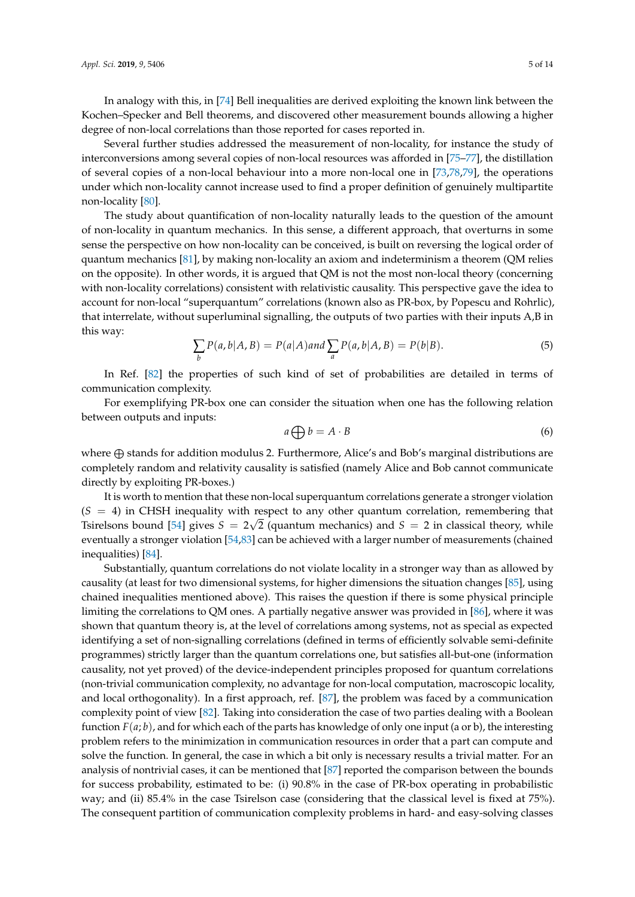In analogy with this, in [\[74\]](#page-11-4) Bell inequalities are derived exploiting the known link between the Kochen–Specker and Bell theorems, and discovered other measurement bounds allowing a higher degree of non-local correlations than those reported for cases reported in.

Several further studies addressed the measurement of non-locality, for instance the study of interconversions among several copies of non-local resources was afforded in [\[75–](#page-11-5)[77\]](#page-11-6), the distillation of several copies of a non-local behaviour into a more non-local one in [\[73](#page-11-3)[,78](#page-11-7)[,79\]](#page-11-8), the operations under which non-locality cannot increase used to find a proper definition of genuinely multipartite non-locality [\[80\]](#page-11-9).

The study about quantification of non-locality naturally leads to the question of the amount of non-locality in quantum mechanics. In this sense, a different approach, that overturns in some sense the perspective on how non-locality can be conceived, is built on reversing the logical order of quantum mechanics [\[81\]](#page-11-10), by making non-locality an axiom and indeterminism a theorem (QM relies on the opposite). In other words, it is argued that QM is not the most non-local theory (concerning with non-locality correlations) consistent with relativistic causality. This perspective gave the idea to account for non-local "superquantum" correlations (known also as PR-box, by Popescu and Rohrlic), that interrelate, without superluminal signalling, the outputs of two parties with their inputs A,B in this way:

$$
\sum_{b} P(a, b | A, B) = P(a | A) \text{ and } \sum_{a} P(a, b | A, B) = P(b | B). \tag{5}
$$

In Ref. [\[82\]](#page-11-11) the properties of such kind of set of probabilities are detailed in terms of communication complexity.

For exemplifying PR-box one can consider the situation when one has the following relation between outputs and inputs:

<span id="page-4-0"></span>
$$
a \bigoplus b = A \cdot B \tag{6}
$$

where  $\oplus$  stands for addition modulus 2. Furthermore, Alice's and Bob's marginal distributions are completely random and relativity causality is satisfied (namely Alice and Bob cannot communicate directly by exploiting PR-boxes.)

It is worth to mention that these non-local superquantum correlations generate a stronger violation  $(S = 4)$  in CHSH inequality with respect to any other quantum correlation, remembering that Tsirelsons bound [\[54\]](#page-10-11) gives  $S = 2\sqrt{2}$  (quantum mechanics) and  $S = 2$  in classical theory, while eventually a stronger violation [\[54,](#page-10-11)[83\]](#page-11-12) can be achieved with a larger number of measurements (chained inequalities) [\[84\]](#page-11-13).

Substantially, quantum correlations do not violate locality in a stronger way than as allowed by causality (at least for two dimensional systems, for higher dimensions the situation changes [\[85\]](#page-11-14), using chained inequalities mentioned above). This raises the question if there is some physical principle limiting the correlations to QM ones. A partially negative answer was provided in [\[86\]](#page-11-15), where it was shown that quantum theory is, at the level of correlations among systems, not as special as expected identifying a set of non-signalling correlations (defined in terms of efficiently solvable semi-definite programmes) strictly larger than the quantum correlations one, but satisfies all-but-one (information causality, not yet proved) of the device-independent principles proposed for quantum correlations (non-trivial communication complexity, no advantage for non-local computation, macroscopic locality, and local orthogonality). In a first approach, ref. [\[87\]](#page-11-16), the problem was faced by a communication complexity point of view [\[82\]](#page-11-11). Taking into consideration the case of two parties dealing with a Boolean function  $F(a; b)$ , and for which each of the parts has knowledge of only one input (a or b), the interesting problem refers to the minimization in communication resources in order that a part can compute and solve the function. In general, the case in which a bit only is necessary results a trivial matter. For an analysis of nontrivial cases, it can be mentioned that [\[87\]](#page-11-16) reported the comparison between the bounds for success probability, estimated to be: (i) 90.8% in the case of PR-box operating in probabilistic way; and (ii) 85.4% in the case Tsirelson case (considering that the classical level is fixed at 75%). The consequent partition of communication complexity problems in hard- and easy-solving classes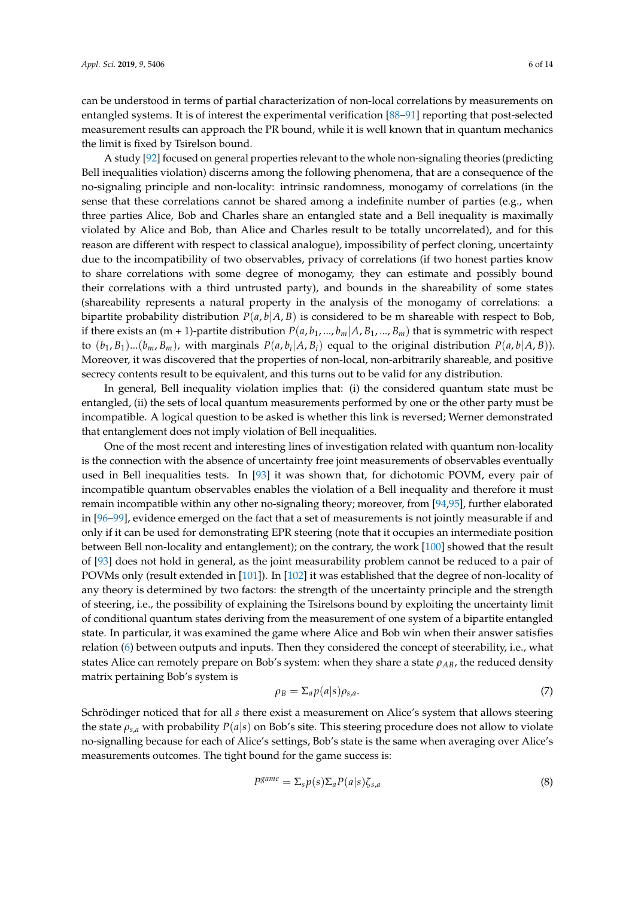can be understood in terms of partial characterization of non-local correlations by measurements on entangled systems. It is of interest the experimental verification [\[88](#page-11-17)[–91\]](#page-11-18) reporting that post-selected measurement results can approach the PR bound, while it is well known that in quantum mechanics the limit is fixed by Tsirelson bound.

A study [\[92\]](#page-11-19) focused on general properties relevant to the whole non-signaling theories (predicting Bell inequalities violation) discerns among the following phenomena, that are a consequence of the no-signaling principle and non-locality: intrinsic randomness, monogamy of correlations (in the sense that these correlations cannot be shared among a indefinite number of parties (e.g., when three parties Alice, Bob and Charles share an entangled state and a Bell inequality is maximally violated by Alice and Bob, than Alice and Charles result to be totally uncorrelated), and for this reason are different with respect to classical analogue), impossibility of perfect cloning, uncertainty due to the incompatibility of two observables, privacy of correlations (if two honest parties know to share correlations with some degree of monogamy, they can estimate and possibly bound their correlations with a third untrusted party), and bounds in the shareability of some states (shareability represents a natural property in the analysis of the monogamy of correlations: a bipartite probability distribution  $P(a, b|A, B)$  is considered to be m shareable with respect to Bob, if there exists an (m + 1)-partite distribution  $P(a, b_1, ..., b_m | A, B_1, ..., B_m)$  that is symmetric with respect to  $(b_1, B_1)$ ... $(b_m, B_m)$ , with marginals  $P(a, b_i | A, B_i)$  equal to the original distribution  $P(a, b | A, B)$ ). Moreover, it was discovered that the properties of non-local, non-arbitrarily shareable, and positive secrecy contents result to be equivalent, and this turns out to be valid for any distribution.

In general, Bell inequality violation implies that: (i) the considered quantum state must be entangled, (ii) the sets of local quantum measurements performed by one or the other party must be incompatible. A logical question to be asked is whether this link is reversed; Werner demonstrated that entanglement does not imply violation of Bell inequalities.

One of the most recent and interesting lines of investigation related with quantum non-locality is the connection with the absence of uncertainty free joint measurements of observables eventually used in Bell inequalities tests. In [\[93\]](#page-11-20) it was shown that, for dichotomic POVM, every pair of incompatible quantum observables enables the violation of a Bell inequality and therefore it must remain incompatible within any other no-signaling theory; moreover, from [\[94,](#page-11-21)[95\]](#page-11-22), further elaborated in [\[96](#page-11-23)[–99\]](#page-12-0), evidence emerged on the fact that a set of measurements is not jointly measurable if and only if it can be used for demonstrating EPR steering (note that it occupies an intermediate position between Bell non-locality and entanglement); on the contrary, the work [\[100\]](#page-12-1) showed that the result of [\[93\]](#page-11-20) does not hold in general, as the joint measurability problem cannot be reduced to a pair of POVMs only (result extended in [\[101\]](#page-12-2)). In [\[102\]](#page-12-3) it was established that the degree of non-locality of any theory is determined by two factors: the strength of the uncertainty principle and the strength of steering, i.e., the possibility of explaining the Tsirelsons bound by exploiting the uncertainty limit of conditional quantum states deriving from the measurement of one system of a bipartite entangled state. In particular, it was examined the game where Alice and Bob win when their answer satisfies relation [\(6\)](#page-4-0) between outputs and inputs. Then they considered the concept of steerability, i.e., what states Alice can remotely prepare on Bob's system: when they share a state  $\rho_{AB}$ , the reduced density matrix pertaining Bob's system is

$$
\rho_B = \sum_a p(a|s) \rho_{s,a}.\tag{7}
$$

Schrödinger noticed that for all *s* there exist a measurement on Alice's system that allows steering the state  $\rho_{s,a}$  with probability  $P(a|s)$  on Bob's site. This steering procedure does not allow to violate no-signalling because for each of Alice's settings, Bob's state is the same when averaging over Alice's measurements outcomes. The tight bound for the game success is:

$$
P^{\text{game}} = \Sigma_{\text{s}} p(\text{s}) \Sigma_{\text{a}} P(\text{a}|\text{s}) \zeta_{\text{s,a}} \tag{8}
$$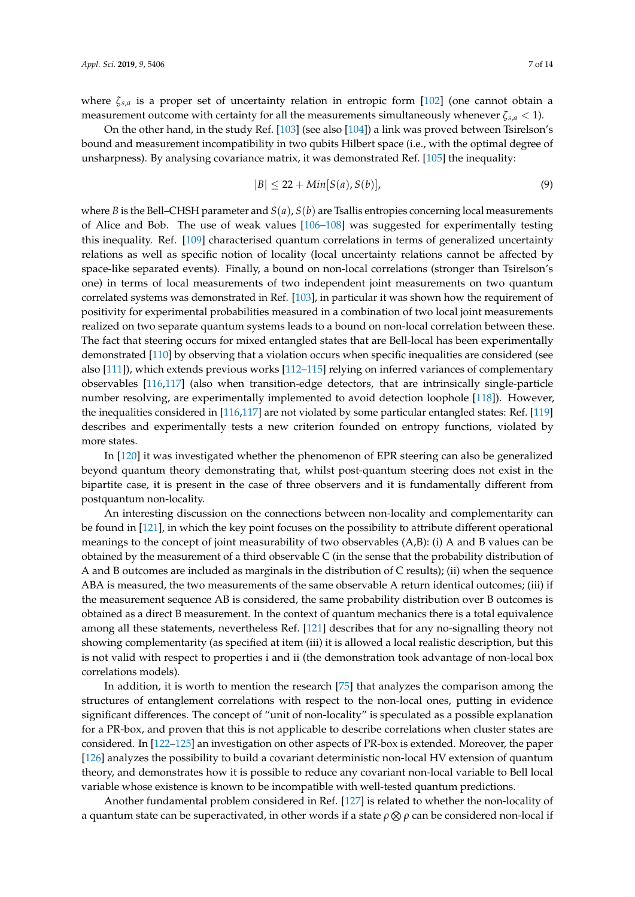where  $\zeta_{s,a}$  is a proper set of uncertainty relation in entropic form [\[102\]](#page-12-3) (one cannot obtain a measurement outcome with certainty for all the measurements simultaneously whenever  $\zeta_{s,a} < 1$ .

On the other hand, in the study Ref. [\[103\]](#page-12-4) (see also [\[104\]](#page-12-5)) a link was proved between Tsirelson's bound and measurement incompatibility in two qubits Hilbert space (i.e., with the optimal degree of unsharpness). By analysing covariance matrix, it was demonstrated Ref. [\[105\]](#page-12-6) the inequality:

$$
|B| \le 22 + Min[S(a), S(b)],\tag{9}
$$

where *B* is the Bell–CHSH parameter and  $S(a)$ ,  $S(b)$  are Tsallis entropies concerning local measurements of Alice and Bob. The use of weak values [\[106](#page-12-7)[–108\]](#page-12-8) was suggested for experimentally testing this inequality. Ref. [\[109\]](#page-12-9) characterised quantum correlations in terms of generalized uncertainty relations as well as specific notion of locality (local uncertainty relations cannot be affected by space-like separated events). Finally, a bound on non-local correlations (stronger than Tsirelson's one) in terms of local measurements of two independent joint measurements on two quantum correlated systems was demonstrated in Ref. [\[103\]](#page-12-4), in particular it was shown how the requirement of positivity for experimental probabilities measured in a combination of two local joint measurements realized on two separate quantum systems leads to a bound on non-local correlation between these. The fact that steering occurs for mixed entangled states that are Bell-local has been experimentally demonstrated [\[110\]](#page-12-10) by observing that a violation occurs when specific inequalities are considered (see also [\[111\]](#page-12-11)), which extends previous works [\[112–](#page-12-12)[115\]](#page-12-13) relying on inferred variances of complementary observables [\[116,](#page-12-14)[117\]](#page-12-15) (also when transition-edge detectors, that are intrinsically single-particle number resolving, are experimentally implemented to avoid detection loophole [\[118\]](#page-12-16)). However, the inequalities considered in [\[116,](#page-12-14)[117\]](#page-12-15) are not violated by some particular entangled states: Ref. [\[119\]](#page-12-17) describes and experimentally tests a new criterion founded on entropy functions, violated by more states.

In [\[120\]](#page-12-18) it was investigated whether the phenomenon of EPR steering can also be generalized beyond quantum theory demonstrating that, whilst post-quantum steering does not exist in the bipartite case, it is present in the case of three observers and it is fundamentally different from postquantum non-locality.

An interesting discussion on the connections between non-locality and complementarity can be found in [\[121\]](#page-12-19), in which the key point focuses on the possibility to attribute different operational meanings to the concept of joint measurability of two observables (A,B): (i) A and B values can be obtained by the measurement of a third observable C (in the sense that the probability distribution of A and B outcomes are included as marginals in the distribution of C results); (ii) when the sequence ABA is measured, the two measurements of the same observable A return identical outcomes; (iii) if the measurement sequence AB is considered, the same probability distribution over B outcomes is obtained as a direct B measurement. In the context of quantum mechanics there is a total equivalence among all these statements, nevertheless Ref. [\[121\]](#page-12-19) describes that for any no-signalling theory not showing complementarity (as specified at item (iii) it is allowed a local realistic description, but this is not valid with respect to properties i and ii (the demonstration took advantage of non-local box correlations models).

In addition, it is worth to mention the research [\[75\]](#page-11-5) that analyzes the comparison among the structures of entanglement correlations with respect to the non-local ones, putting in evidence significant differences. The concept of "unit of non-locality" is speculated as a possible explanation for a PR-box, and proven that this is not applicable to describe correlations when cluster states are considered. In [\[122](#page-12-20)[–125\]](#page-13-0) an investigation on other aspects of PR-box is extended. Moreover, the paper [\[126\]](#page-13-1) analyzes the possibility to build a covariant deterministic non-local HV extension of quantum theory, and demonstrates how it is possible to reduce any covariant non-local variable to Bell local variable whose existence is known to be incompatible with well-tested quantum predictions.

Another fundamental problem considered in Ref. [\[127\]](#page-13-2) is related to whether the non-locality of a quantum state can be superactivated, in other words if a state  $\rho\otimes\rho$  can be considered non-local if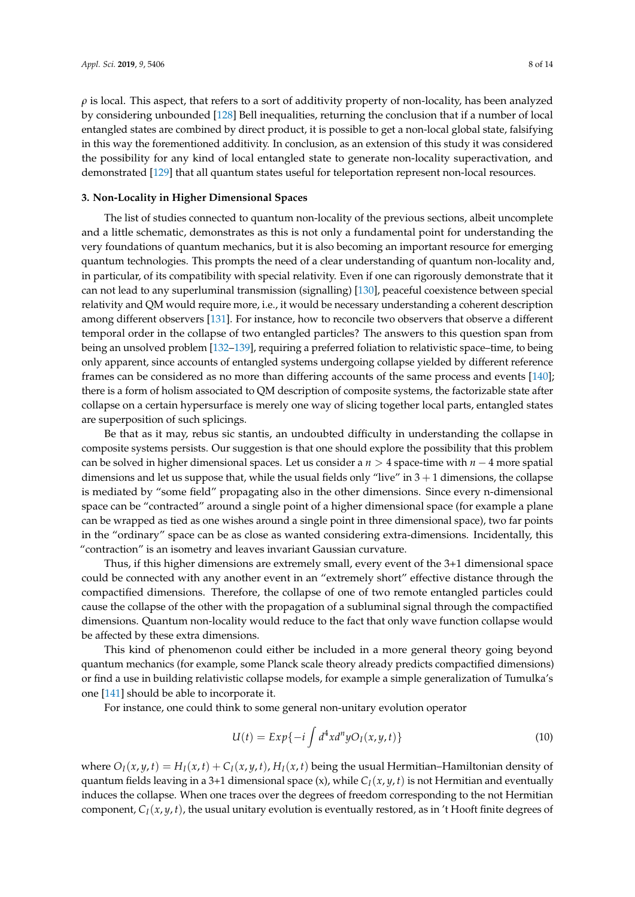$\rho$  is local. This aspect, that refers to a sort of additivity property of non-locality, has been analyzed by considering unbounded [\[128\]](#page-13-3) Bell inequalities, returning the conclusion that if a number of local entangled states are combined by direct product, it is possible to get a non-local global state, falsifying in this way the forementioned additivity. In conclusion, as an extension of this study it was considered the possibility for any kind of local entangled state to generate non-locality superactivation, and demonstrated [\[129\]](#page-13-4) that all quantum states useful for teleportation represent non-local resources.

#### **3. Non-Locality in Higher Dimensional Spaces**

The list of studies connected to quantum non-locality of the previous sections, albeit uncomplete and a little schematic, demonstrates as this is not only a fundamental point for understanding the very foundations of quantum mechanics, but it is also becoming an important resource for emerging quantum technologies. This prompts the need of a clear understanding of quantum non-locality and, in particular, of its compatibility with special relativity. Even if one can rigorously demonstrate that it can not lead to any superluminal transmission (signalling) [\[130\]](#page-13-5), peaceful coexistence between special relativity and QM would require more, i.e., it would be necessary understanding a coherent description among different observers [\[131\]](#page-13-6). For instance, how to reconcile two observers that observe a different temporal order in the collapse of two entangled particles? The answers to this question span from being an unsolved problem [\[132–](#page-13-7)[139\]](#page-13-8), requiring a preferred foliation to relativistic space–time, to being only apparent, since accounts of entangled systems undergoing collapse yielded by different reference frames can be considered as no more than differing accounts of the same process and events [\[140\]](#page-13-9); there is a form of holism associated to QM description of composite systems, the factorizable state after collapse on a certain hypersurface is merely one way of slicing together local parts, entangled states are superposition of such splicings.

Be that as it may, rebus sic stantis, an undoubted difficulty in understanding the collapse in composite systems persists. Our suggestion is that one should explore the possibility that this problem can be solved in higher dimensional spaces. Let us consider a *n* > 4 space-time with *n* − 4 more spatial dimensions and let us suppose that, while the usual fields only "live" in  $3 + 1$  dimensions, the collapse is mediated by "some field" propagating also in the other dimensions. Since every n-dimensional space can be "contracted" around a single point of a higher dimensional space (for example a plane can be wrapped as tied as one wishes around a single point in three dimensional space), two far points in the "ordinary" space can be as close as wanted considering extra-dimensions. Incidentally, this "contraction" is an isometry and leaves invariant Gaussian curvature.

Thus, if this higher dimensions are extremely small, every event of the 3+1 dimensional space could be connected with any another event in an "extremely short" effective distance through the compactified dimensions. Therefore, the collapse of one of two remote entangled particles could cause the collapse of the other with the propagation of a subluminal signal through the compactified dimensions. Quantum non-locality would reduce to the fact that only wave function collapse would be affected by these extra dimensions.

This kind of phenomenon could either be included in a more general theory going beyond quantum mechanics (for example, some Planck scale theory already predicts compactified dimensions) or find a use in building relativistic collapse models, for example a simple generalization of Tumulka's one [\[141\]](#page-13-10) should be able to incorporate it.

For instance, one could think to some general non-unitary evolution operator

$$
U(t) = Exp\{-i \int d^4x d^ny O_I(x, y, t)\}
$$
\n(10)

where  $O_I(x, y, t) = H_I(x, t) + C_I(x, y, t)$ ,  $H_I(x, t)$  being the usual Hermitian–Hamiltonian density of quantum fields leaving in a 3+1 dimensional space (x), while *CI*(*x*, *y*, *t*) is not Hermitian and eventually induces the collapse. When one traces over the degrees of freedom corresponding to the not Hermitian component,  $C_I(x, y, t)$ , the usual unitary evolution is eventually restored, as in 't Hooft finite degrees of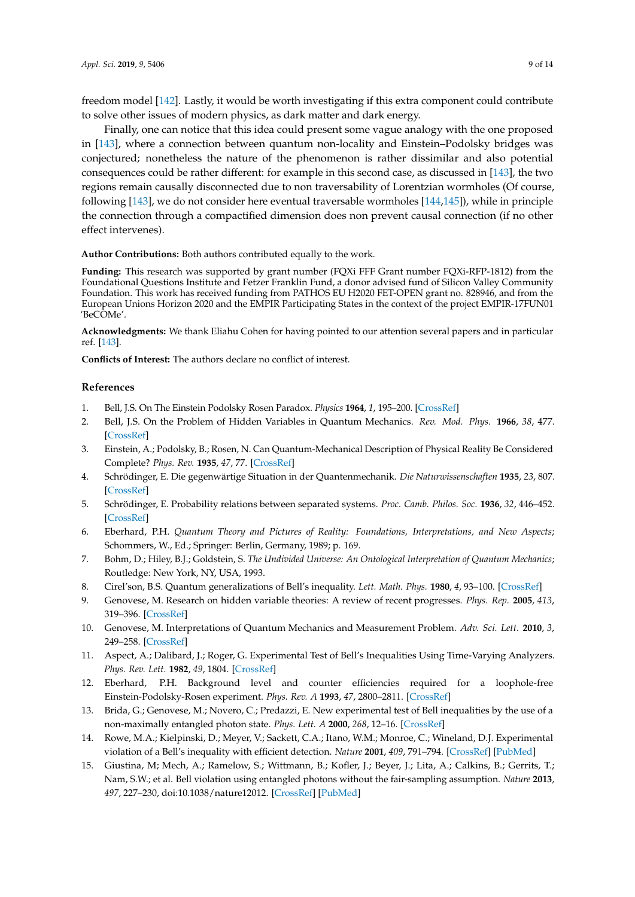freedom model [\[142\]](#page-13-11). Lastly, it would be worth investigating if this extra component could contribute to solve other issues of modern physics, as dark matter and dark energy.

Finally, one can notice that this idea could present some vague analogy with the one proposed in [\[143\]](#page-13-12), where a connection between quantum non-locality and Einstein–Podolsky bridges was conjectured; nonetheless the nature of the phenomenon is rather dissimilar and also potential consequences could be rather different: for example in this second case, as discussed in [\[143\]](#page-13-12), the two regions remain causally disconnected due to non traversability of Lorentzian wormholes (Of course, following [\[143\]](#page-13-12), we do not consider here eventual traversable wormholes [\[144](#page-13-13)[,145\]](#page-13-14)), while in principle the connection through a compactified dimension does non prevent causal connection (if no other effect intervenes).

**Author Contributions:** Both authors contributed equally to the work.

**Funding:** This research was supported by grant number (FQXi FFF Grant number FQXi-RFP-1812) from the Foundational Questions Institute and Fetzer Franklin Fund, a donor advised fund of Silicon Valley Community Foundation. This work has received funding from PATHOS EU H2020 FET-OPEN grant no. 828946, and from the European Unions Horizon 2020 and the EMPIR Participating States in the context of the project EMPIR-17FUN01 'BeCOMe'.

**Acknowledgments:** We thank Eliahu Cohen for having pointed to our attention several papers and in particular ref. [\[143\]](#page-13-12).

**Conflicts of Interest:** The authors declare no conflict of interest.

#### **References**

- <span id="page-8-0"></span>1. Bell, J.S. On The Einstein Podolsky Rosen Paradox. *Physics* **1964**, *1*, 195–200. [\[CrossRef\]](http://dx.doi.org/10.1103/PhysicsPhysiqueFizika.1.195)
- <span id="page-8-1"></span>2. Bell, J.S. On the Problem of Hidden Variables in Quantum Mechanics. *Rev. Mod. Phys.* **1966**, *38*, 477. [\[CrossRef\]](http://dx.doi.org/10.1103/RevModPhys.38.447)
- 3. Einstein, A.; Podolsky, B.; Rosen, N. Can Quantum-Mechanical Description of Physical Reality Be Considered Complete? *Phys. Rev.* **1935**, *47*, 77. [\[CrossRef\]](http://dx.doi.org/10.1103/PhysRev.47.777)
- 4. Schrödinger, E. Die gegenwärtige Situation in der Quantenmechanik. *Die Naturwissenschaften* **1935**, *23*, 807. [\[CrossRef\]](http://dx.doi.org/10.1007/BF01491891)
- 5. Schrödinger, E. Probability relations between separated systems. *Proc. Camb. Philos. Soc.* **1936**, *32*, 446–452. [\[CrossRef\]](http://dx.doi.org/10.1017/S0305004100019137)
- 6. Eberhard, P.H. *Quantum Theory and Pictures of Reality: Foundations, Interpretations, and New Aspects*; Schommers, W., Ed.; Springer: Berlin, Germany, 1989; p. 169.
- 7. Bohm, D.; Hiley, B.J.; Goldstein, S. *The Undivided Universe: An Ontological Interpretation of Quantum Mechanics*; Routledge: New York, NY, USA, 1993.
- <span id="page-8-2"></span>8. Cirel'son, B.S. Quantum generalizations of Bell's inequality. *Lett. Math. Phys.* **1980**, *4*, 93–100. [\[CrossRef\]](http://dx.doi.org/10.1007/BF00417500)
- <span id="page-8-3"></span>9. Genovese, M. Research on hidden variable theories: A review of recent progresses. *Phys. Rep.* **2005**, *413*, 319–396. [\[CrossRef\]](http://dx.doi.org/10.1016/j.physrep.2005.03.003)
- <span id="page-8-5"></span>10. Genovese, M. Interpretations of Quantum Mechanics and Measurement Problem. *Adv. Sci. Lett.* **2010**, *3*, 249–258. [\[CrossRef\]](http://dx.doi.org/10.1166/asl.2010.1133)
- 11. Aspect, A.; Dalibard, J.; Roger, G. Experimental Test of Bell's Inequalities Using Time-Varying Analyzers. *Phys. Rev. Lett.* **1982**, *49*, 1804. [\[CrossRef\]](http://dx.doi.org/10.1103/PhysRevLett.49.1804)
- <span id="page-8-6"></span>12. Eberhard, P.H. Background level and counter efficiencies required for a loophole-free Einstein-Podolsky-Rosen experiment. *Phys. Rev. A* **1993**, *47*, 2800–2811. [\[CrossRef\]](http://dx.doi.org/10.1103/PhysRevA.47.R747)
- 13. Brida, G.; Genovese, M.; Novero, C.; Predazzi, E. New experimental test of Bell inequalities by the use of a non-maximally entangled photon state. *Phys. Lett. A* **2000**, *268*, 12–16. [\[CrossRef\]](http://dx.doi.org/10.1016/S0375-9601(00)00167-5)
- 14. Rowe, M.A.; Kielpinski, D.; Meyer, V.; Sackett, C.A.; Itano, W.M.; Monroe, C.; Wineland, D.J. Experimental violation of a Bell's inequality with efficient detection. *Nature* **2001**, *409*, 791–794. [\[CrossRef\]](http://dx.doi.org/10.1038/35057215) [\[PubMed\]](http://www.ncbi.nlm.nih.gov/pubmed/11236986)
- <span id="page-8-4"></span>15. Giustina, M; Mech, A.; Ramelow, S.; Wittmann, B.; Kofler, J.; Beyer, J.; Lita, A.; Calkins, B.; Gerrits, T.; Nam, S.W.; et al. Bell violation using entangled photons without the fair-sampling assumption. *Nature* **2013**, *497*, 227–230, doi:10.1038/nature12012. [\[CrossRef\]](http://dx.doi.org/10.1038/nature12012) [\[PubMed\]](http://www.ncbi.nlm.nih.gov/pubmed/23584590)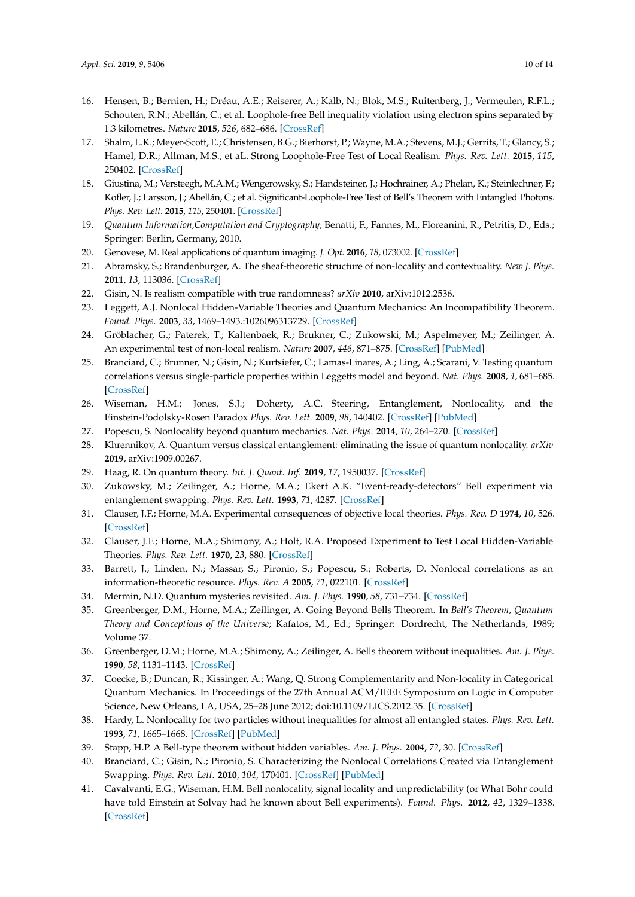- <span id="page-9-0"></span>16. Hensen, B.; Bernien, H.; Dréau, A.E.; Reiserer, A.; Kalb, N.; Blok, M.S.; Ruitenberg, J.; Vermeulen, R.F.L.; Schouten, R.N.; Abellán, C.; et al. Loophole-free Bell inequality violation using electron spins separated by 1.3 kilometres. *Nature* **2015**, *526*, 682–686. [\[CrossRef\]](http://dx.doi.org/10.1038/nature15759)
- 17. Shalm, L.K.; Meyer-Scott, E.; Christensen, B.G.; Bierhorst, P.; Wayne, M.A.; Stevens, M.J.; Gerrits, T.; Glancy, S.; Hamel, D.R.; Allman, M.S.; et aL. Strong Loophole-Free Test of Local Realism. *Phys. Rev. Lett.* **2015**, *115*, 250402. [\[CrossRef\]](http://dx.doi.org/10.1103/PhysRevLett.115.250402)
- <span id="page-9-1"></span>18. Giustina, M.; Versteegh, M.A.M.; Wengerowsky, S.; Handsteiner, J.; Hochrainer, A.; Phelan, K.; Steinlechner, F.; Kofler, J.; Larsson, J.; Abellán, C.; et al. Significant-Loophole-Free Test of Bell's Theorem with Entangled Photons. *Phys. Rev. Lett.* **2015**, *115*, 250401. [\[CrossRef\]](http://dx.doi.org/10.1103/PhysRevLett.115.250401)
- <span id="page-9-2"></span>19. *Quantum Information,Computation and Cryptography*; Benatti, F., Fannes, M., Floreanini, R., Petritis, D., Eds.; Springer: Berlin, Germany, 2010.
- <span id="page-9-3"></span>20. Genovese, M. Real applications of quantum imaging. *J. Opt.* **2016**, *18*, 073002. [\[CrossRef\]](http://dx.doi.org/10.1088/2040-8978/18/7/073002)
- <span id="page-9-4"></span>21. Abramsky, S.; Brandenburger, A. The sheaf-theoretic structure of non-locality and contextuality. *New J. Phys.* **2011**, *13*, 113036. [\[CrossRef\]](http://dx.doi.org/10.1088/1367-2630/13/11/113036)
- <span id="page-9-16"></span>22. Gisin, N. Is realism compatible with true randomness? *arXiv* **2010**, arXiv:1012.2536.
- 23. Leggett, A.J. Nonlocal Hidden-Variable Theories and Quantum Mechanics: An Incompatibility Theorem. *Found. Phys.* **2003**, *33*, 1469–1493.:1026096313729. [\[CrossRef\]](http://dx.doi.org/10.1023/A:1026096313729)
- 24. Gröblacher, G.; Paterek, T.; Kaltenbaek, R.; Brukner, C.; Zukowski, M.; Aspelmeyer, M.; Zeilinger, A. An experimental test of non-local realism. *Nature* **2007**, *446*, 871–875. [\[CrossRef\]](http://dx.doi.org/10.1038/nature05677) [\[PubMed\]](http://www.ncbi.nlm.nih.gov/pubmed/17443179)
- 25. Branciard, C.; Brunner, N.; Gisin, N.; Kurtsiefer, C.; Lamas-Linares, A.; Ling, A.; Scarani, V. Testing quantum correlations versus single-particle properties within Leggetts model and beyond. *Nat. Phys.* **2008**, *4*, 681–685. [\[CrossRef\]](http://dx.doi.org/10.1038/nphys1020)
- 26. Wiseman, H.M.; Jones, S.J.; Doherty, A.C. Steering, Entanglement, Nonlocality, and the Einstein-Podolsky-Rosen Paradox *Phys. Rev. Lett.* **2009**, *98*, 140402. [\[CrossRef\]](http://dx.doi.org/10.1103/PhysRevLett.98.140402) [\[PubMed\]](http://www.ncbi.nlm.nih.gov/pubmed/17501251)
- 27. Popescu, S. Nonlocality beyond quantum mechanics. *Nat. Phys.* **2014**, *10*, 264–270. [\[CrossRef\]](http://dx.doi.org/10.1038/nphys2916)
- 28. Khrennikov, A. Quantum versus classical entanglement: eliminating the issue of quantum nonlocality. *arXiv* **2019**, arXiv:1909.00267.
- 29. Haag, R. On quantum theory. *Int. J. Quant. Inf.* **2019**, *17*, 1950037. [\[CrossRef\]](http://dx.doi.org/10.1142/S0219749919500370)
- <span id="page-9-5"></span>30. Zukowsky, M.; Zeilinger, A.; Horne, M.A.; Ekert A.K. "Event-ready-detectors" Bell experiment via entanglement swapping. *Phys. Rev. Lett.* **1993**, *71*, 4287. [\[CrossRef\]](http://dx.doi.org/10.1103/PhysRevLett.71.4287)
- <span id="page-9-6"></span>31. Clauser, J.F.; Horne, M.A. Experimental consequences of objective local theories. *Phys. Rev. D* **1974**, *10*, 526. [\[CrossRef\]](http://dx.doi.org/10.1103/PhysRevD.10.526)
- <span id="page-9-7"></span>32. Clauser, J.F.; Horne, M.A.; Shimony, A.; Holt, R.A. Proposed Experiment to Test Local Hidden-Variable Theories. *Phys. Rev. Lett.* **1970**, *23*, 880. [\[CrossRef\]](http://dx.doi.org/10.1103/PhysRevLett.23.880)
- <span id="page-9-8"></span>33. Barrett, J.; Linden, N.; Massar, S.; Pironio, S.; Popescu, S.; Roberts, D. Nonlocal correlations as an information-theoretic resource. *Phys. Rev. A* **2005**, *71*, 022101. [\[CrossRef\]](http://dx.doi.org/10.1103/PhysRevA.71.022101)
- <span id="page-9-9"></span>34. Mermin, N.D. Quantum mysteries revisited. *Am. J. Phys.* **1990**, *58*, 731–734. [\[CrossRef\]](http://dx.doi.org/10.1119/1.16503)
- <span id="page-9-10"></span>35. Greenberger, D.M.; Horne, M.A.; Zeilinger, A. Going Beyond Bells Theorem. In *Bell's Theorem, Quantum Theory and Conceptions of the Universe*; Kafatos, M., Ed.; Springer: Dordrecht, The Netherlands, 1989; Volume 37.
- <span id="page-9-11"></span>36. Greenberger, D.M.; Horne, M.A.; Shimony, A.; Zeilinger, A. Bells theorem without inequalities. *Am. J. Phys.* **1990**, *58*, 1131–1143. [\[CrossRef\]](http://dx.doi.org/10.1119/1.16243)
- <span id="page-9-12"></span>37. Coecke, B.; Duncan, R.; Kissinger, A.; Wang, Q. Strong Complementarity and Non-locality in Categorical Quantum Mechanics. In Proceedings of the 27th Annual ACM/IEEE Symposium on Logic in Computer Science, New Orleans, LA, USA, 25–28 June 2012; doi:10.1109/LICS.2012.35. [\[CrossRef\]](http://dx.doi.org/10.1109/LICS.2012.35)
- <span id="page-9-13"></span>38. Hardy, L. Nonlocality for two particles without inequalities for almost all entangled states. *Phys. Rev. Lett.* **1993**, *71*, 1665–1668. [\[CrossRef\]](http://dx.doi.org/10.1103/PhysRevLett.71.1665) [\[PubMed\]](http://www.ncbi.nlm.nih.gov/pubmed/10054467)
- <span id="page-9-14"></span>39. Stapp, H.P. A Bell-type theorem without hidden variables. *Am. J. Phys.* **2004**, *72*, 30. [\[CrossRef\]](http://dx.doi.org/10.1119/1.1613273)
- <span id="page-9-15"></span>40. Branciard, C.; Gisin, N.; Pironio, S. Characterizing the Nonlocal Correlations Created via Entanglement Swapping. *Phys. Rev. Lett.* **2010**, *104*, 170401. [\[CrossRef\]](http://dx.doi.org/10.1103/PhysRevLett.104.170401) [\[PubMed\]](http://www.ncbi.nlm.nih.gov/pubmed/20482092)
- <span id="page-9-17"></span>41. Cavalvanti, E.G.; Wiseman, H.M. Bell nonlocality, signal locality and unpredictability (or What Bohr could have told Einstein at Solvay had he known about Bell experiments). *Found. Phys.* **2012**, *42*, 1329–1338. [\[CrossRef\]](http://dx.doi.org/10.1007/s10701-012-9669-1)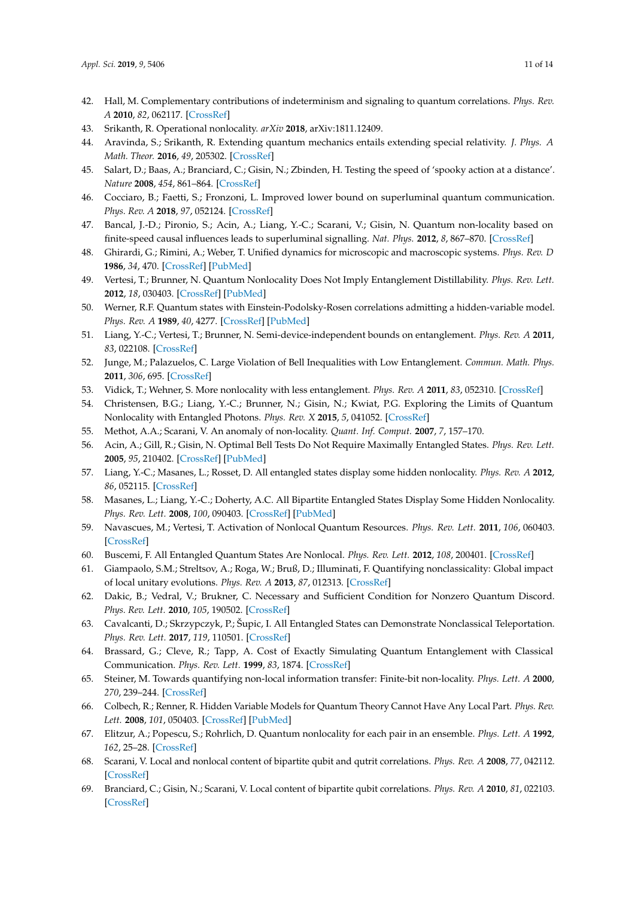- <span id="page-10-0"></span>42. Hall, M. Complementary contributions of indeterminism and signaling to quantum correlations. *Phys. Rev. A* **2010**, *82*, 062117. [\[CrossRef\]](http://dx.doi.org/10.1103/PhysRevA.82.062117)
- <span id="page-10-1"></span>43. Srikanth, R. Operational nonlocality. *arXiv* **2018**, arXiv:1811.12409.
- <span id="page-10-2"></span>44. Aravinda, S.; Srikanth, R. Extending quantum mechanics entails extending special relativity. *J. Phys. A Math. Theor.* **2016**, *49*, 205302. [\[CrossRef\]](http://dx.doi.org/10.1088/1751-8113/49/20/205302)
- <span id="page-10-3"></span>45. Salart, D.; Baas, A.; Branciard, C.; Gisin, N.; Zbinden, H. Testing the speed of 'spooky action at a distance'. *Nature* **2008**, *454*, 861–864. [\[CrossRef\]](http://dx.doi.org/10.1038/nature07121)
- <span id="page-10-4"></span>46. Cocciaro, B.; Faetti, S.; Fronzoni, L. Improved lower bound on superluminal quantum communication. *Phys. Rev. A* **2018**, *97*, 052124. [\[CrossRef\]](http://dx.doi.org/10.1103/PhysRevA.97.052124)
- <span id="page-10-5"></span>47. Bancal, J.-D.; Pironio, S.; Acin, A.; Liang, Y.-C.; Scarani, V.; Gisin, N. Quantum non-locality based on finite-speed causal influences leads to superluminal signalling. *Nat. Phys.* **2012**, *8*, 867–870. [\[CrossRef\]](http://dx.doi.org/10.1038/nphys2460)
- <span id="page-10-6"></span>48. Ghirardi, G.; Rimini, A.; Weber, T. Unified dynamics for microscopic and macroscopic systems. *Phys. Rev. D* **1986**, *34*, 470. [\[CrossRef\]](http://dx.doi.org/10.1103/PhysRevD.34.470) [\[PubMed\]](http://www.ncbi.nlm.nih.gov/pubmed/9957165)
- <span id="page-10-7"></span>49. Vertesi, T.; Brunner, N. Quantum Nonlocality Does Not Imply Entanglement Distillability. *Phys. Rev. Lett.* **2012**, *18*, 030403. [\[CrossRef\]](http://dx.doi.org/10.1103/PhysRevLett.108.030403) [\[PubMed\]](http://www.ncbi.nlm.nih.gov/pubmed/22400720)
- <span id="page-10-8"></span>50. Werner, R.F. Quantum states with Einstein-Podolsky-Rosen correlations admitting a hidden-variable model. *Phys. Rev. A* **1989**, *40*, 4277. [\[CrossRef\]](http://dx.doi.org/10.1103/PhysRevA.40.4277) [\[PubMed\]](http://www.ncbi.nlm.nih.gov/pubmed/9902666)
- <span id="page-10-9"></span>51. Liang, Y.-C.; Vertesi, T.; Brunner, N. Semi-device-independent bounds on entanglement. *Phys. Rev. A* **2011**, *83*, 022108. [\[CrossRef\]](http://dx.doi.org/10.1103/PhysRevA.83.022108)
- 52. Junge, M.; Palazuelos, C. Large Violation of Bell Inequalities with Low Entanglement. *Commun. Math. Phys.* **2011**, *306*, 695. [\[CrossRef\]](http://dx.doi.org/10.1007/s00220-011-1296-8)
- <span id="page-10-10"></span>53. Vidick, T.; Wehner, S. More nonlocality with less entanglement. *Phys. Rev. A* **2011**, *83*, 052310. [\[CrossRef\]](http://dx.doi.org/10.1103/PhysRevA.83.052310)
- <span id="page-10-11"></span>54. Christensen, B.G.; Liang, Y.-C.; Brunner, N.; Gisin, N.; Kwiat, P.G. Exploring the Limits of Quantum Nonlocality with Entangled Photons. *Phys. Rev. X* **2015**, *5*, 041052. [\[CrossRef\]](http://dx.doi.org/10.1103/PhysRevX.5.041052)
- <span id="page-10-12"></span>55. Methot, A.A.; Scarani, V. An anomaly of non-locality. *Quant. Inf. Comput.* **2007**, *7*, 157–170.
- <span id="page-10-13"></span>56. Acin, A.; Gill, R.; Gisin, N. Optimal Bell Tests Do Not Require Maximally Entangled States. *Phys. Rev. Lett.* **2005**, *95*, 210402. [\[CrossRef\]](http://dx.doi.org/10.1103/PhysRevLett.95.210402) [\[PubMed\]](http://www.ncbi.nlm.nih.gov/pubmed/16384120)
- <span id="page-10-14"></span>57. Liang, Y.-C.; Masanes, L.; Rosset, D. All entangled states display some hidden nonlocality. *Phys. Rev. A* **2012**, *86*, 052115. [\[CrossRef\]](http://dx.doi.org/10.1103/PhysRevA.86.052115)
- <span id="page-10-15"></span>58. Masanes, L.; Liang, Y.-C.; Doherty, A.C. All Bipartite Entangled States Display Some Hidden Nonlocality. *Phys. Rev. Lett.* **2008**, *100*, 090403. [\[CrossRef\]](http://dx.doi.org/10.1103/PhysRevLett.100.090403) [\[PubMed\]](http://www.ncbi.nlm.nih.gov/pubmed/18352681)
- <span id="page-10-16"></span>59. Navascues, M.; Vertesi, T. Activation of Nonlocal Quantum Resources. *Phys. Rev. Lett.* **2011**, *106*, 060403. [\[CrossRef\]](http://dx.doi.org/10.1103/PhysRevLett.106.060403)
- <span id="page-10-17"></span>60. Buscemi, F. All Entangled Quantum States Are Nonlocal. *Phys. Rev. Lett.* **2012**, *108*, 200401. [\[CrossRef\]](http://dx.doi.org/10.1103/PhysRevLett.108.200401)
- <span id="page-10-18"></span>61. Giampaolo, S.M.; Streltsov, A.; Roga, W.; Bruß, D.; Illuminati, F. Quantifying nonclassicality: Global impact of local unitary evolutions. *Phys. Rev. A* **2013**, *87*, 012313. [\[CrossRef\]](http://dx.doi.org/10.1103/PhysRevA.87.012313)
- <span id="page-10-19"></span>62. Dakic, B.; Vedral, V.; Brukner, C. Necessary and Sufficient Condition for Nonzero Quantum Discord. *Phys. Rev. Lett.* **2010**, *105*, 190502. [\[CrossRef\]](http://dx.doi.org/10.1103/PhysRevLett.105.190502)
- <span id="page-10-20"></span>63. Cavalcanti, D.; Skrzypczyk, P.; Šupic, I. All Entangled States can Demonstrate Nonclassical Teleportation. *Phys. Rev. Lett.* **2017**, *119*, 110501. [\[CrossRef\]](http://dx.doi.org/10.1103/PhysRevLett.119.110501)
- <span id="page-10-21"></span>64. Brassard, G.; Cleve, R.; Tapp, A. Cost of Exactly Simulating Quantum Entanglement with Classical Communication. *Phys. Rev. Lett.* **1999**, *83*, 1874. [\[CrossRef\]](http://dx.doi.org/10.1103/PhysRevLett.83.1874)
- <span id="page-10-22"></span>65. Steiner, M. Towards quantifying non-local information transfer: Finite-bit non-locality. *Phys. Lett. A* **2000**, *270*, 239–244. [\[CrossRef\]](http://dx.doi.org/10.1016/S0375-9601(00)00315-7)
- <span id="page-10-23"></span>66. Colbech, R.; Renner, R. Hidden Variable Models for Quantum Theory Cannot Have Any Local Part. *Phys. Rev. Lett.* **2008**, *101*, 050403. [\[CrossRef\]](http://dx.doi.org/10.1103/PhysRevLett.101.050403) [\[PubMed\]](http://www.ncbi.nlm.nih.gov/pubmed/18764377)
- <span id="page-10-24"></span>67. Elitzur, A.; Popescu, S.; Rohrlich, D. Quantum nonlocality for each pair in an ensemble. *Phys. Lett. A* **1992**, *162*, 25–28. [\[CrossRef\]](http://dx.doi.org/10.1016/0375-9601(92)90952-I)
- <span id="page-10-25"></span>68. Scarani, V. Local and nonlocal content of bipartite qubit and qutrit correlations. *Phys. Rev. A* **2008**, *77*, 042112. [\[CrossRef\]](http://dx.doi.org/10.1103/PhysRevA.77.042112)
- <span id="page-10-26"></span>69. Branciard, C.; Gisin, N.; Scarani, V. Local content of bipartite qubit correlations. *Phys. Rev. A* **2010**, *81*, 022103. [\[CrossRef\]](http://dx.doi.org/10.1103/PhysRevA.81.022103)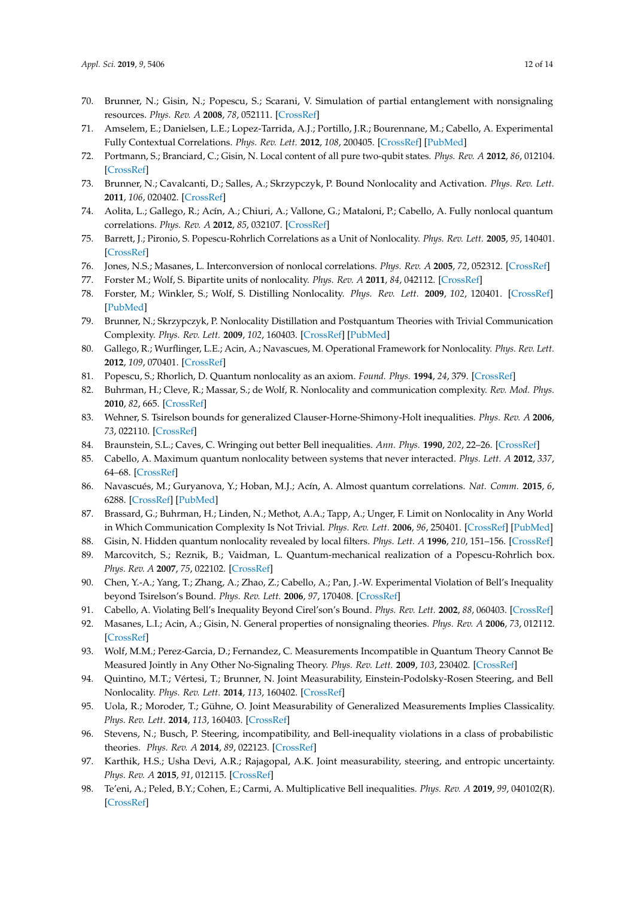- <span id="page-11-0"></span>70. Brunner, N.; Gisin, N.; Popescu, S.; Scarani, V. Simulation of partial entanglement with nonsignaling resources. *Phys. Rev. A* **2008**, *78*, 052111. [\[CrossRef\]](http://dx.doi.org/10.1103/PhysRevA.78.052111)
- <span id="page-11-1"></span>71. Amselem, E.; Danielsen, L.E.; Lopez-Tarrida, A.J.; Portillo, J.R.; Bourennane, M.; Cabello, A. Experimental Fully Contextual Correlations. *Phys. Rev. Lett.* **2012**, *108*, 200405. [\[CrossRef\]](http://dx.doi.org/10.1103/PhysRevLett.108.200405) [\[PubMed\]](http://www.ncbi.nlm.nih.gov/pubmed/23003131)
- <span id="page-11-2"></span>72. Portmann, S.; Branciard, C.; Gisin, N. Local content of all pure two-qubit states. *Phys. Rev. A* **2012**, *86*, 012104. [\[CrossRef\]](http://dx.doi.org/10.1103/PhysRevA.86.012104)
- <span id="page-11-3"></span>73. Brunner, N.; Cavalcanti, D.; Salles, A.; Skrzypczyk, P. Bound Nonlocality and Activation. *Phys. Rev. Lett.* **2011**, *106*, 020402. [\[CrossRef\]](http://dx.doi.org/10.1103/PhysRevLett.106.020402)
- <span id="page-11-4"></span>74. Aolita, L.; Gallego, R.; Acín, A.; Chiuri, A.; Vallone, G.; Mataloni, P.; Cabello, A. Fully nonlocal quantum correlations. *Phys. Rev. A* **2012**, *85*, 032107. [\[CrossRef\]](http://dx.doi.org/10.1103/PhysRevA.85.032107)
- <span id="page-11-5"></span>75. Barrett, J.; Pironio, S. Popescu-Rohrlich Correlations as a Unit of Nonlocality. *Phys. Rev. Lett.* **2005**, *95*, 140401. [\[CrossRef\]](http://dx.doi.org/10.1103/PhysRevLett.95.140401)
- 76. Jones, N.S.; Masanes, L. Interconversion of nonlocal correlations. *Phys. Rev. A* **2005**, *72*, 052312. [\[CrossRef\]](http://dx.doi.org/10.1103/PhysRevA.72.052312)
- <span id="page-11-6"></span>77. Forster M.; Wolf, S. Bipartite units of nonlocality. *Phys. Rev. A* **2011**, *84*, 042112. [\[CrossRef\]](http://dx.doi.org/10.1103/PhysRevA.84.042112)
- <span id="page-11-7"></span>78. Forster, M.; Winkler, S.; Wolf, S. Distilling Nonlocality. *Phys. Rev. Lett.* **2009**, *102*, 120401. [\[CrossRef\]](http://dx.doi.org/10.1103/PhysRevLett.102.120401) [\[PubMed\]](http://www.ncbi.nlm.nih.gov/pubmed/19392256)
- <span id="page-11-8"></span>79. Brunner, N.; Skrzypczyk, P. Nonlocality Distillation and Postquantum Theories with Trivial Communication Complexity. *Phys. Rev. Lett.* **2009**, *102*, 160403. [\[CrossRef\]](http://dx.doi.org/10.1103/PhysRevLett.102.160403) [\[PubMed\]](http://www.ncbi.nlm.nih.gov/pubmed/19518687)
- <span id="page-11-9"></span>80. Gallego, R.; Wurflinger, L.E.; Acin, A.; Navascues, M. Operational Framework for Nonlocality. *Phys. Rev. Lett.* **2012**, *109*, 070401. [\[CrossRef\]](http://dx.doi.org/10.1103/PhysRevLett.109.070401)
- <span id="page-11-10"></span>81. Popescu, S.; Rhorlich, D. Quantum nonlocality as an axiom. *Found. Phys.* **1994**, *24*, 379. [\[CrossRef\]](http://dx.doi.org/10.1007/BF02058098)
- <span id="page-11-11"></span>82. Buhrman, H.; Cleve, R.; Massar, S.; de Wolf, R. Nonlocality and communication complexity. *Rev. Mod. Phys.* **2010**, *82*, 665. [\[CrossRef\]](http://dx.doi.org/10.1103/RevModPhys.82.665)
- <span id="page-11-12"></span>83. Wehner, S. Tsirelson bounds for generalized Clauser-Horne-Shimony-Holt inequalities. *Phys. Rev. A* **2006**, *73*, 022110. [\[CrossRef\]](http://dx.doi.org/10.1103/PhysRevA.73.022110)
- <span id="page-11-13"></span>84. Braunstein, S.L.; Caves, C. Wringing out better Bell inequalities. *Ann. Phys.* **1990**, *202*, 22–26. [\[CrossRef\]](http://dx.doi.org/10.1016/0003-4916(90)90339-P)
- <span id="page-11-14"></span>85. Cabello, A. Maximum quantum nonlocality between systems that never interacted. *Phys. Lett. A* **2012**, *337*, 64–68. [\[CrossRef\]](http://dx.doi.org/10.1016/j.physleta.2012.11.015)
- <span id="page-11-15"></span>86. Navascués, M.; Guryanova, Y.; Hoban, M.J.; Acín, A. Almost quantum correlations. *Nat. Comm.* **2015**, *6*, 6288. [\[CrossRef\]](http://dx.doi.org/10.1038/ncomms7288) [\[PubMed\]](http://www.ncbi.nlm.nih.gov/pubmed/25697645)
- <span id="page-11-16"></span>87. Brassard, G.; Buhrman, H.; Linden, N.; Methot, A.A.; Tapp, A.; Unger, F. Limit on Nonlocality in Any World in Which Communication Complexity Is Not Trivial. *Phys. Rev. Lett.* **2006**, *96*, 250401. [\[CrossRef\]](http://dx.doi.org/10.1103/PhysRevLett.96.250401) [\[PubMed\]](http://www.ncbi.nlm.nih.gov/pubmed/16907289)
- <span id="page-11-17"></span>88. Gisin, N. Hidden quantum nonlocality revealed by local filters. *Phys. Lett. A* **1996**, *210*, 151–156. [\[CrossRef\]](http://dx.doi.org/10.1016/S0375-9601(96)80001-6)
- 89. Marcovitch, S.; Reznik, B.; Vaidman, L. Quantum-mechanical realization of a Popescu-Rohrlich box. *Phys. Rev. A* **2007**, *75*, 022102. [\[CrossRef\]](http://dx.doi.org/10.1103/PhysRevA.75.022102)
- 90. Chen, Y.-A.; Yang, T.; Zhang, A.; Zhao, Z.; Cabello, A.; Pan, J.-W. Experimental Violation of Bell's Inequality beyond Tsirelson's Bound. *Phys. Rev. Lett.* **2006**, *97*, 170408. [\[CrossRef\]](http://dx.doi.org/10.1103/PhysRevLett.97.170408)
- <span id="page-11-18"></span>91. Cabello, A. Violating Bell's Inequality Beyond Cirel'son's Bound. *Phys. Rev. Lett.* **2002**, *88*, 060403. [\[CrossRef\]](http://dx.doi.org/10.1103/PhysRevLett.88.060403)
- <span id="page-11-19"></span>92. Masanes, L.I.; Acin, A.; Gisin, N. General properties of nonsignaling theories. *Phys. Rev. A* **2006**, *73*, 012112. [\[CrossRef\]](http://dx.doi.org/10.1103/PhysRevA.73.012112)
- <span id="page-11-20"></span>93. Wolf, M.M.; Perez-Garcia, D.; Fernandez, C. Measurements Incompatible in Quantum Theory Cannot Be Measured Jointly in Any Other No-Signaling Theory. *Phys. Rev. Lett.* **2009**, *103*, 230402. [\[CrossRef\]](http://dx.doi.org/10.1103/PhysRevLett.103.230402)
- <span id="page-11-21"></span>94. Quintino, M.T.; Vértesi, T.; Brunner, N. Joint Measurability, Einstein-Podolsky-Rosen Steering, and Bell Nonlocality. *Phys. Rev. Lett.* **2014**, *113*, 160402. [\[CrossRef\]](http://dx.doi.org/10.1103/PhysRevLett.113.160402)
- <span id="page-11-22"></span>95. Uola, R.; Moroder, T.; Gühne, O. Joint Measurability of Generalized Measurements Implies Classicality. *Phys. Rev. Lett.* **2014**, *113*, 160403. [\[CrossRef\]](http://dx.doi.org/10.1103/PhysRevLett.113.160403)
- <span id="page-11-23"></span>96. Stevens, N.; Busch, P. Steering, incompatibility, and Bell-inequality violations in a class of probabilistic theories. *Phys. Rev. A* **2014**, *89*, 022123. [\[CrossRef\]](http://dx.doi.org/10.1103/PhysRevA.89.022123)
- 97. Karthik, H.S.; Usha Devi, A.R.; Rajagopal, A.K. Joint measurability, steering, and entropic uncertainty. *Phys. Rev. A* **2015**, *91*, 012115. [\[CrossRef\]](http://dx.doi.org/10.1103/PhysRevA.91.012115)
- 98. Te'eni, A.; Peled, B.Y.; Cohen, E.; Carmi, A. Multiplicative Bell inequalities. *Phys. Rev. A* **2019**, *99*, 040102(R). [\[CrossRef\]](http://dx.doi.org/10.1103/PhysRevA.99.040102)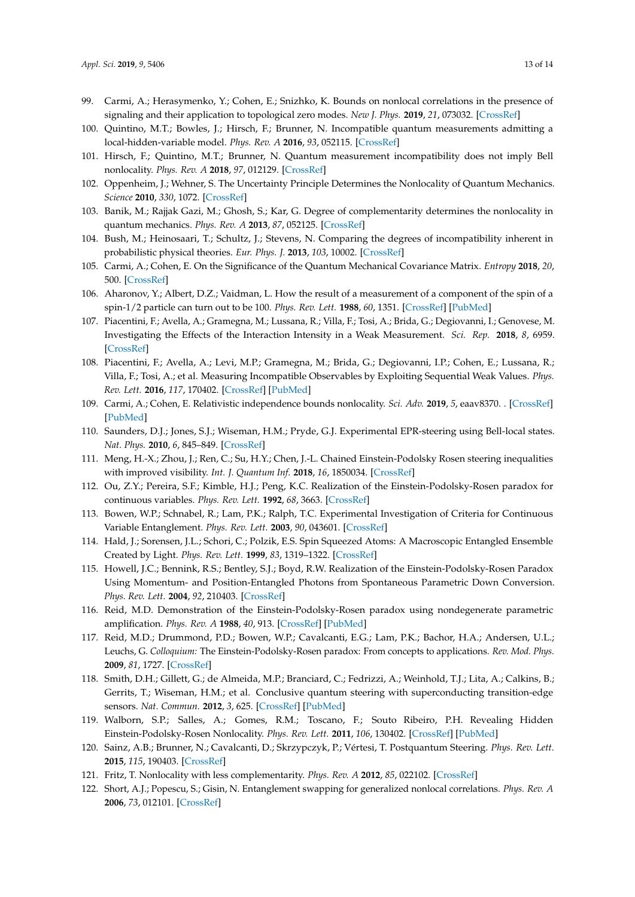- <span id="page-12-0"></span>99. Carmi, A.; Herasymenko, Y.; Cohen, E.; Snizhko, K. Bounds on nonlocal correlations in the presence of signaling and their application to topological zero modes. *New J. Phys.* **2019**, *21*, 073032. [\[CrossRef\]](http://dx.doi.org/10.1088/1367-2630/ab2f5b)
- <span id="page-12-1"></span>100. Quintino, M.T.; Bowles, J.; Hirsch, F.; Brunner, N. Incompatible quantum measurements admitting a local-hidden-variable model. *Phys. Rev. A* **2016**, *93*, 052115. [\[CrossRef\]](http://dx.doi.org/10.1103/PhysRevA.93.052115)
- <span id="page-12-2"></span>101. Hirsch, F.; Quintino, M.T.; Brunner, N. Quantum measurement incompatibility does not imply Bell nonlocality. *Phys. Rev. A* **2018**, *97*, 012129. [\[CrossRef\]](http://dx.doi.org/10.1103/PhysRevA.97.012129)
- <span id="page-12-3"></span>102. Oppenheim, J.; Wehner, S. The Uncertainty Principle Determines the Nonlocality of Quantum Mechanics. *Science* **2010**, *330*, 1072. [\[CrossRef\]](http://dx.doi.org/10.1126/science.1192065)
- <span id="page-12-4"></span>103. Banik, M.; Rajjak Gazi, M.; Ghosh, S.; Kar, G. Degree of complementarity determines the nonlocality in quantum mechanics. *Phys. Rev. A* **2013**, *87*, 052125. [\[CrossRef\]](http://dx.doi.org/10.1103/PhysRevA.87.052125)
- <span id="page-12-5"></span>104. Bush, M.; Heinosaari, T.; Schultz, J.; Stevens, N. Comparing the degrees of incompatibility inherent in probabilistic physical theories. *Eur. Phys. J.* **2013**, *103*, 10002. [\[CrossRef\]](http://dx.doi.org/10.1209/0295-5075/103/10002)
- <span id="page-12-6"></span>105. Carmi, A.; Cohen, E. On the Significance of the Quantum Mechanical Covariance Matrix. *Entropy* **2018**, *20*, 500. [\[CrossRef\]](http://dx.doi.org/10.3390/e20070500)
- <span id="page-12-7"></span>106. Aharonov, Y.; Albert, D.Z.; Vaidman, L. How the result of a measurement of a component of the spin of a spin-1/2 particle can turn out to be 100. *Phys. Rev. Lett.* **1988**, *60*, 1351. [\[CrossRef\]](http://dx.doi.org/10.1103/PhysRevLett.60.1351) [\[PubMed\]](http://www.ncbi.nlm.nih.gov/pubmed/10038016)
- 107. Piacentini, F.; Avella, A.; Gramegna, M.; Lussana, R.; Villa, F.; Tosi, A.; Brida, G.; Degiovanni, I.; Genovese, M. Investigating the Effects of the Interaction Intensity in a Weak Measurement. *Sci. Rep.* **2018**, *8*, 6959. [\[CrossRef\]](http://dx.doi.org/10.1038/s41598-018-25156-7)
- <span id="page-12-8"></span>108. Piacentini, F.; Avella, A.; Levi, M.P.; Gramegna, M.; Brida, G.; Degiovanni, I.P.; Cohen, E.; Lussana, R.; Villa, F.; Tosi, A.; et al. Measuring Incompatible Observables by Exploiting Sequential Weak Values. *Phys. Rev. Lett.* **2016**, *117*, 170402. [\[CrossRef\]](http://dx.doi.org/10.1103/PhysRevLett.117.170402) [\[PubMed\]](http://www.ncbi.nlm.nih.gov/pubmed/27824450)
- <span id="page-12-9"></span>109. Carmi, A.; Cohen, E. Relativistic independence bounds nonlocality. *Sci. Adv.* **2019**, *5*, eaav8370. . [\[CrossRef\]](http://dx.doi.org/10.1126/sciadv.aav8370) [\[PubMed\]](http://www.ncbi.nlm.nih.gov/pubmed/30993205)
- <span id="page-12-10"></span>110. Saunders, D.J.; Jones, S.J.; Wiseman, H.M.; Pryde, G.J. Experimental EPR-steering using Bell-local states. *Nat. Phys.* **2010**, *6*, 845–849. [\[CrossRef\]](http://dx.doi.org/10.1038/nphys1766)
- <span id="page-12-11"></span>111. Meng, H.-X.; Zhou, J.; Ren, C.; Su, H.Y.; Chen, J.-L. Chained Einstein-Podolsky Rosen steering inequalities with improved visibility. *Int. J. Quantum Inf.* **2018**, *16*, 1850034. [\[CrossRef\]](http://dx.doi.org/10.1142/S021974991850034X)
- <span id="page-12-12"></span>112. Ou, Z.Y.; Pereira, S.F.; Kimble, H.J.; Peng, K.C. Realization of the Einstein-Podolsky-Rosen paradox for continuous variables. *Phys. Rev. Lett.* **1992**, *68*, 3663. [\[CrossRef\]](http://dx.doi.org/10.1103/PhysRevLett.68.3663)
- 113. Bowen, W.P.; Schnabel, R.; Lam, P.K.; Ralph, T.C. Experimental Investigation of Criteria for Continuous Variable Entanglement. *Phys. Rev. Lett.* **2003**, *90*, 043601. [\[CrossRef\]](http://dx.doi.org/10.1103/PhysRevLett.90.043601)
- 114. Hald, J.; Sorensen, J.L.; Schori, C.; Polzik, E.S. Spin Squeezed Atoms: A Macroscopic Entangled Ensemble Created by Light. *Phys. Rev. Lett.* **1999**, *83*, 1319–1322. [\[CrossRef\]](http://dx.doi.org/10.1103/PhysRevLett.83.1319)
- <span id="page-12-13"></span>115. Howell, J.C.; Bennink, R.S.; Bentley, S.J.; Boyd, R.W. Realization of the Einstein-Podolsky-Rosen Paradox Using Momentum- and Position-Entangled Photons from Spontaneous Parametric Down Conversion. *Phys. Rev. Lett.* **2004**, *92*, 210403. [\[CrossRef\]](http://dx.doi.org/10.1103/PhysRevLett.92.210403)
- <span id="page-12-14"></span>116. Reid, M.D. Demonstration of the Einstein-Podolsky-Rosen paradox using nondegenerate parametric amplification. *Phys. Rev. A* **1988**, *40*, 913. [\[CrossRef\]](http://dx.doi.org/10.1103/PhysRevA.40.913) [\[PubMed\]](http://www.ncbi.nlm.nih.gov/pubmed/9902217)
- <span id="page-12-15"></span>117. Reid, M.D.; Drummond, P.D.; Bowen, W.P.; Cavalcanti, E.G.; Lam, P.K.; Bachor, H.A.; Andersen, U.L.; Leuchs, G. *Colloquium:* The Einstein-Podolsky-Rosen paradox: From concepts to applications. *Rev. Mod. Phys.* **2009**, *81*, 1727. [\[CrossRef\]](http://dx.doi.org/10.1103/RevModPhys.81.1727)
- <span id="page-12-16"></span>118. Smith, D.H.; Gillett, G.; de Almeida, M.P.; Branciard, C.; Fedrizzi, A.; Weinhold, T.J.; Lita, A.; Calkins, B.; Gerrits, T.; Wiseman, H.M.; et al. Conclusive quantum steering with superconducting transition-edge sensors. *Nat. Commun.* **2012**, *3*, 625. [\[CrossRef\]](http://dx.doi.org/10.1038/ncomms1628) [\[PubMed\]](http://www.ncbi.nlm.nih.gov/pubmed/22233635)
- <span id="page-12-17"></span>119. Walborn, S.P.; Salles, A.; Gomes, R.M.; Toscano, F.; Souto Ribeiro, P.H. Revealing Hidden Einstein-Podolsky-Rosen Nonlocality. *Phys. Rev. Lett.* **2011**, *106*, 130402. [\[CrossRef\]](http://dx.doi.org/10.1103/PhysRevLett.106.130402) [\[PubMed\]](http://www.ncbi.nlm.nih.gov/pubmed/21517361)
- <span id="page-12-18"></span>120. Sainz, A.B.; Brunner, N.; Cavalcanti, D.; Skrzypczyk, P.; Vértesi, T. Postquantum Steering. *Phys. Rev. Lett.* **2015**, *115*, 190403. [\[CrossRef\]](http://dx.doi.org/10.1103/PhysRevLett.115.190403)
- <span id="page-12-19"></span>121. Fritz, T. Nonlocality with less complementarity. *Phys. Rev. A* **2012**, *85*, 022102. [\[CrossRef\]](http://dx.doi.org/10.1103/PhysRevA.85.022102)
- <span id="page-12-20"></span>122. Short, A.J.; Popescu, S.; Gisin, N. Entanglement swapping for generalized nonlocal correlations. *Phys. Rev. A* **2006**, *73*, 012101. [\[CrossRef\]](http://dx.doi.org/10.1103/PhysRevA.73.012101)